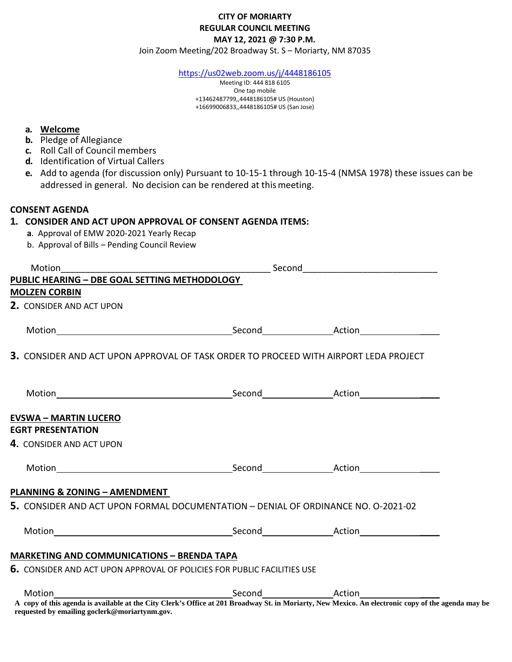## **CITY OF MORIARTY REGULAR COUNCIL MEETING MAY 12, 2021 @ 7:30 P.M.**

Join Zoom Meeting/202 Broadway St. S – Moriarty, NM 87035

<https://us02web.zoom.us/j/4448186105>

Meeting ID: 444 818 6105 One tap mobile +13462487799,,4448186105# US (Houston) +16699006833,,4448186105# US (San Jose)

#### **a. Welcome**

- **b.** Pledge of Allegiance
- **c.** Roll Call of Council members
- **d.** Identification of Virtual Callers
- **e.** Add to agenda (for discussion only) Pursuant to 10-15-1 through 10-15-4 (NMSA 1978) these issues can be addressed in general. No decision can be rendered at thismeeting.

### **CONSENT AGENDA**

#### **1. CONSIDER AND ACT UPON APPROVAL OF CONSENT AGENDA ITEMS:**

- **a**. Approval of EMW 2020-2021 Yearly Recap
- b. Approval of Bills Pending Council Review

| Motion                                                                                      |  |  |
|---------------------------------------------------------------------------------------------|--|--|
| PUBLIC HEARING - DBE GOAL SETTING METHODOLOGY                                               |  |  |
| <b>MOLZEN CORBIN</b>                                                                        |  |  |
| 2. CONSIDER AND ACT UPON                                                                    |  |  |
|                                                                                             |  |  |
| <b>3.</b> CONSIDER AND ACT UPON APPROVAL OF TASK ORDER TO PROCEED WITH AIRPORT LEDA PROJECT |  |  |
|                                                                                             |  |  |
| <b>EVSWA - MARTIN LUCERO</b>                                                                |  |  |
| <b>EGRT PRESENTATION</b>                                                                    |  |  |
| 4. CONSIDER AND ACT UPON                                                                    |  |  |
|                                                                                             |  |  |
| <b>PLANNING &amp; ZONING - AMENDMENT</b>                                                    |  |  |
| 5. CONSIDER AND ACT UPON FORMAL DOCUMENTATION - DENIAL OF ORDINANCE NO. 0-2021-02           |  |  |
|                                                                                             |  |  |
| <b>MARKETING AND COMMUNICATIONS - BRENDA TAPA</b>                                           |  |  |
| <b>6.</b> CONSIDER AND ACT UPON APPROVAL OF POLICIES FOR PUBLIC FACILITIES USE              |  |  |
| Motion                                                                                      |  |  |

**A copy of this agenda is available at the City Clerk's Office at 201 Broadway St. in Moriarty, New Mexico. An electronic copy of the agenda may be requested by emailing goclerk@moriartynm.gov.**